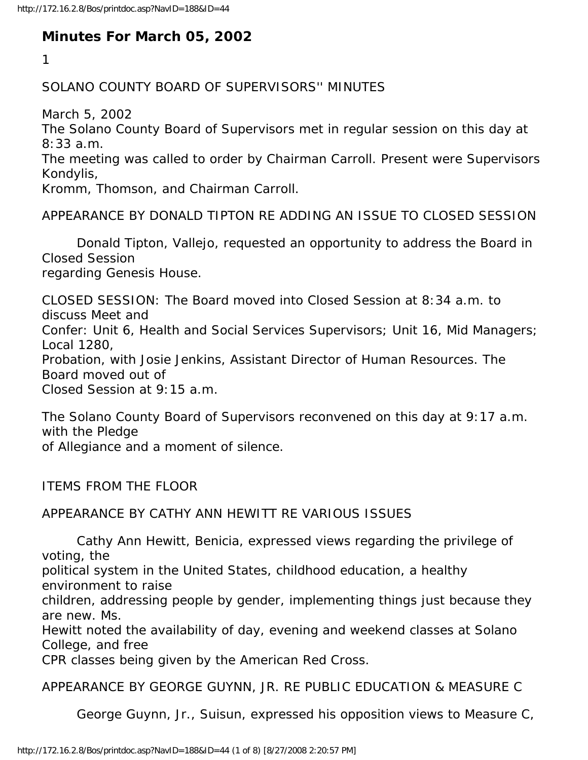## **Minutes For March 05, 2002**

1

SOLANO COUNTY BOARD OF SUPERVISORS'' MINUTES

March 5, 2002

The Solano County Board of Supervisors met in regular session on this day at 8:33 a.m.

The meeting was called to order by Chairman Carroll. Present were Supervisors Kondylis,

Kromm, Thomson, and Chairman Carroll.

APPEARANCE BY DONALD TIPTON RE ADDING AN ISSUE TO CLOSED SESSION

 Donald Tipton, Vallejo, requested an opportunity to address the Board in Closed Session regarding Genesis House.

CLOSED SESSION: The Board moved into Closed Session at 8:34 a.m. to discuss Meet and Confer: Unit 6, Health and Social Services Supervisors; Unit 16, Mid Managers; Local 1280,

Probation, with Josie Jenkins, Assistant Director of Human Resources. The Board moved out of

Closed Session at 9:15 a.m.

The Solano County Board of Supervisors reconvened on this day at 9:17 a.m. with the Pledge

of Allegiance and a moment of silence.

ITEMS FROM THE FLOOR

APPEARANCE BY CATHY ANN HEWITT RE VARIOUS ISSUES

 Cathy Ann Hewitt, Benicia, expressed views regarding the privilege of voting, the

political system in the United States, childhood education, a healthy environment to raise

children, addressing people by gender, implementing things just because they are new. Ms.

Hewitt noted the availability of day, evening and weekend classes at Solano College, and free

CPR classes being given by the American Red Cross.

APPEARANCE BY GEORGE GUYNN, JR. RE PUBLIC EDUCATION & MEASURE C

George Guynn, Jr., Suisun, expressed his opposition views to Measure C,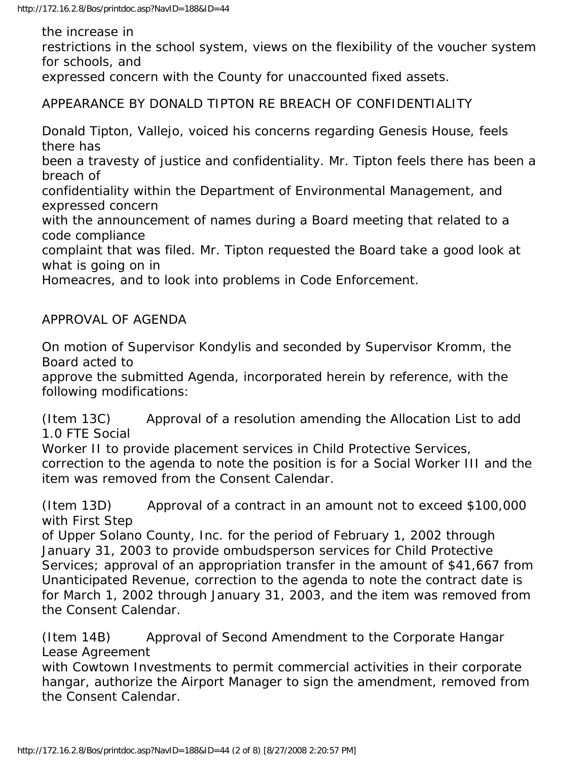the increase in restrictions in the school system, views on the flexibility of the voucher system for schools, and expressed concern with the County for unaccounted fixed assets.

## APPEARANCE BY DONALD TIPTON RE BREACH OF CONFIDENTIALITY

Donald Tipton, Vallejo, voiced his concerns regarding Genesis House, feels there has been a travesty of justice and confidentiality. Mr. Tipton feels there has been a breach of confidentiality within the Department of Environmental Management, and expressed concern with the announcement of names during a Board meeting that related to a code compliance

complaint that was filed. Mr. Tipton requested the Board take a good look at what is going on in

Homeacres, and to look into problems in Code Enforcement.

APPROVAL OF AGENDA

On motion of Supervisor Kondylis and seconded by Supervisor Kromm, the Board acted to

approve the submitted Agenda, incorporated herein by reference, with the following modifications:

(Item 13C) Approval of a resolution amending the Allocation List to add 1.0 FTE Social

Worker II to provide placement services in Child Protective Services, correction to the agenda to note the position is for a Social Worker III and the item was removed from the Consent Calendar.

(Item 13D) Approval of a contract in an amount not to exceed \$100,000 with First Step

of Upper Solano County, Inc. for the period of February 1, 2002 through January 31, 2003 to provide ombudsperson services for Child Protective Services; approval of an appropriation transfer in the amount of \$41,667 from Unanticipated Revenue, correction to the agenda to note the contract date is for March 1, 2002 through January 31, 2003, and the item was removed from the Consent Calendar.

(Item 14B) Approval of Second Amendment to the Corporate Hangar Lease Agreement

with Cowtown Investments to permit commercial activities in their corporate hangar, authorize the Airport Manager to sign the amendment, removed from the Consent Calendar.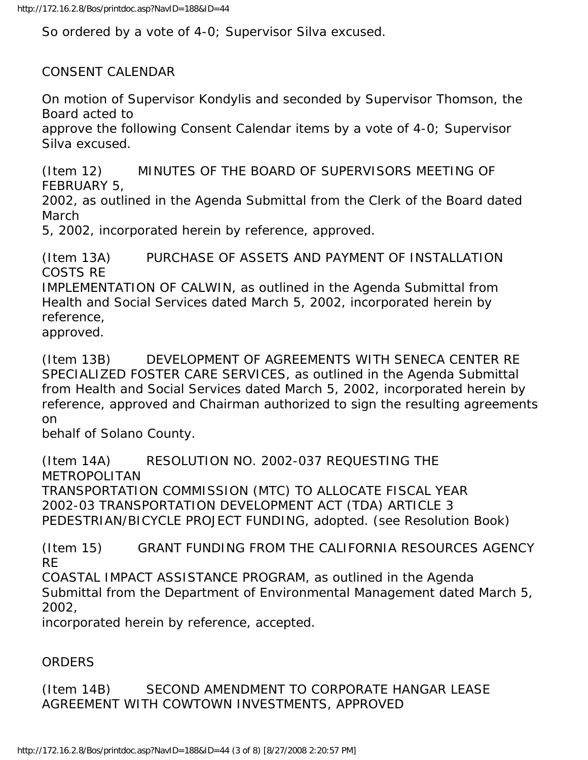So ordered by a vote of 4-0; Supervisor Silva excused.

CONSENT CALENDAR

On motion of Supervisor Kondylis and seconded by Supervisor Thomson, the Board acted to

approve the following Consent Calendar items by a vote of 4-0; Supervisor Silva excused.

(Item 12) MINUTES OF THE BOARD OF SUPERVISORS MEETING OF FEBRUARY 5,

2002, as outlined in the Agenda Submittal from the Clerk of the Board dated March

5, 2002, incorporated herein by reference, approved.

(Item 13A) PURCHASE OF ASSETS AND PAYMENT OF INSTALLATION COSTS RE

IMPLEMENTATION OF CALWIN, as outlined in the Agenda Submittal from Health and Social Services dated March 5, 2002, incorporated herein by reference,

approved.

(Item 13B) DEVELOPMENT OF AGREEMENTS WITH SENECA CENTER RE SPECIALIZED FOSTER CARE SERVICES, as outlined in the Agenda Submittal from Health and Social Services dated March 5, 2002, incorporated herein by reference, approved and Chairman authorized to sign the resulting agreements on

behalf of Solano County.

(Item 14A) RESOLUTION NO. 2002-037 REQUESTING THE METROPOLITAN TRANSPORTATION COMMISSION (MTC) TO ALLOCATE FISCAL YEAR 2002-03 TRANSPORTATION DEVELOPMENT ACT (TDA) ARTICLE 3 PEDESTRIAN/BICYCLE PROJECT FUNDING, adopted. (see Resolution Book)

(Item 15) GRANT FUNDING FROM THE CALIFORNIA RESOURCES AGENCY RE

COASTAL IMPACT ASSISTANCE PROGRAM, as outlined in the Agenda Submittal from the Department of Environmental Management dated March 5, 2002,

incorporated herein by reference, accepted.

## **ORDERS**

(Item 14B) SECOND AMENDMENT TO CORPORATE HANGAR LEASE AGREEMENT WITH COWTOWN INVESTMENTS, APPROVED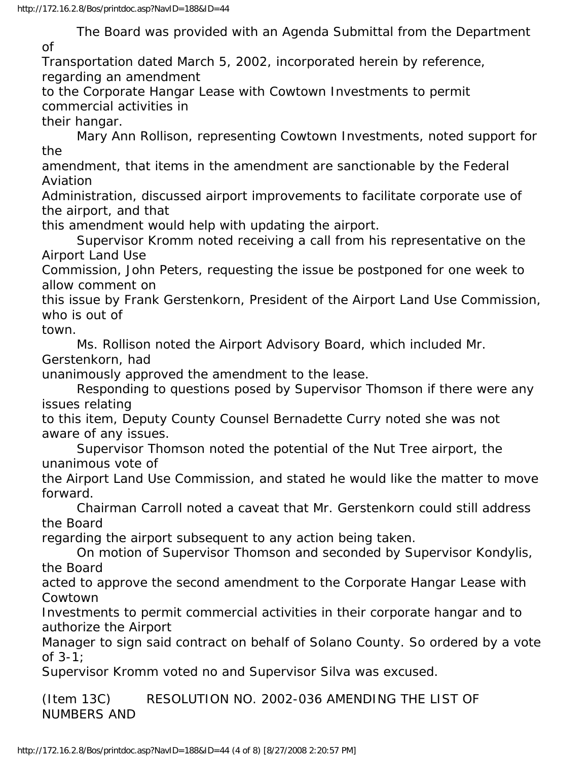The Board was provided with an Agenda Submittal from the Department of

Transportation dated March 5, 2002, incorporated herein by reference, regarding an amendment

to the Corporate Hangar Lease with Cowtown Investments to permit commercial activities in

their hangar.

 Mary Ann Rollison, representing Cowtown Investments, noted support for the

amendment, that items in the amendment are sanctionable by the Federal Aviation

Administration, discussed airport improvements to facilitate corporate use of the airport, and that

this amendment would help with updating the airport.

 Supervisor Kromm noted receiving a call from his representative on the Airport Land Use

Commission, John Peters, requesting the issue be postponed for one week to allow comment on

this issue by Frank Gerstenkorn, President of the Airport Land Use Commission, who is out of

town.

 Ms. Rollison noted the Airport Advisory Board, which included Mr. Gerstenkorn, had

unanimously approved the amendment to the lease.

 Responding to questions posed by Supervisor Thomson if there were any issues relating

to this item, Deputy County Counsel Bernadette Curry noted she was not aware of any issues.

 Supervisor Thomson noted the potential of the Nut Tree airport, the unanimous vote of

the Airport Land Use Commission, and stated he would like the matter to move forward.

 Chairman Carroll noted a caveat that Mr. Gerstenkorn could still address the Board

regarding the airport subsequent to any action being taken.

 On motion of Supervisor Thomson and seconded by Supervisor Kondylis, the Board

acted to approve the second amendment to the Corporate Hangar Lease with Cowtown

Investments to permit commercial activities in their corporate hangar and to authorize the Airport

Manager to sign said contract on behalf of Solano County. So ordered by a vote of 3-1;

Supervisor Kromm voted no and Supervisor Silva was excused.

(Item 13C) RESOLUTION NO. 2002-036 AMENDING THE LIST OF NUMBERS AND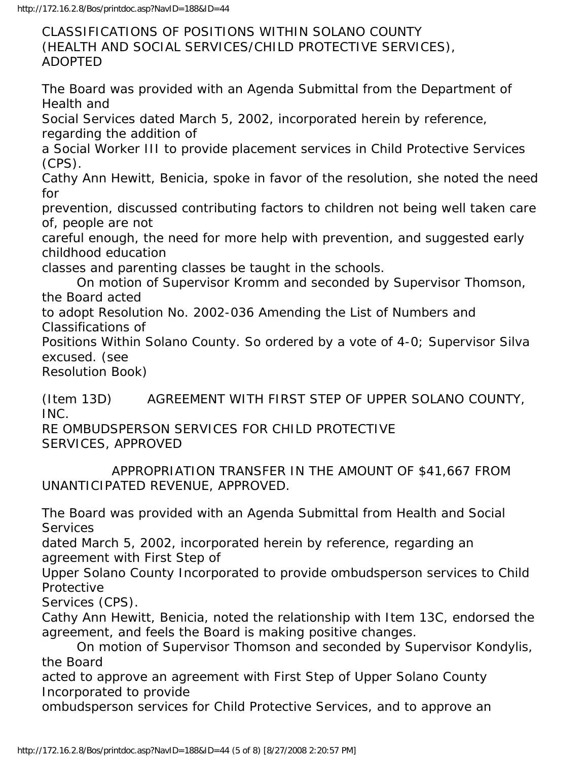CLASSIFICATIONS OF POSITIONS WITHIN SOLANO COUNTY (HEALTH AND SOCIAL SERVICES/CHILD PROTECTIVE SERVICES), ADOPTED

The Board was provided with an Agenda Submittal from the Department of Health and

Social Services dated March 5, 2002, incorporated herein by reference, regarding the addition of

a Social Worker III to provide placement services in Child Protective Services (CPS).

Cathy Ann Hewitt, Benicia, spoke in favor of the resolution, she noted the need for

prevention, discussed contributing factors to children not being well taken care of, people are not

careful enough, the need for more help with prevention, and suggested early childhood education

classes and parenting classes be taught in the schools.

 On motion of Supervisor Kromm and seconded by Supervisor Thomson, the Board acted

to adopt Resolution No. 2002-036 Amending the List of Numbers and Classifications of

Positions Within Solano County. So ordered by a vote of 4-0; Supervisor Silva excused. (see

Resolution Book)

(Item 13D) AGREEMENT WITH FIRST STEP OF UPPER SOLANO COUNTY, INC.

RE OMBUDSPERSON SERVICES FOR CHILD PROTECTIVE SERVICES, APPROVED

 APPROPRIATION TRANSFER IN THE AMOUNT OF \$41,667 FROM UNANTICIPATED REVENUE, APPROVED.

The Board was provided with an Agenda Submittal from Health and Social **Services** 

dated March 5, 2002, incorporated herein by reference, regarding an agreement with First Step of

Upper Solano County Incorporated to provide ombudsperson services to Child Protective

Services (CPS).

Cathy Ann Hewitt, Benicia, noted the relationship with Item 13C, endorsed the agreement, and feels the Board is making positive changes.

 On motion of Supervisor Thomson and seconded by Supervisor Kondylis, the Board

acted to approve an agreement with First Step of Upper Solano County Incorporated to provide

ombudsperson services for Child Protective Services, and to approve an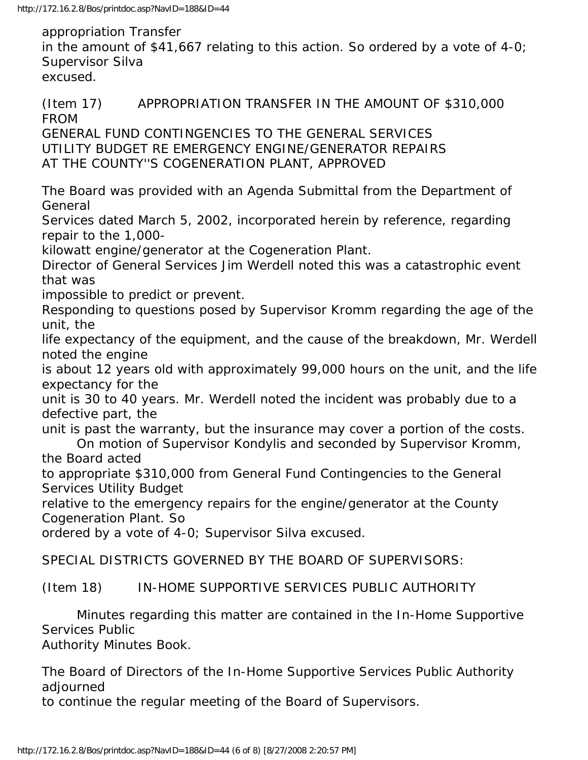appropriation Transfer in the amount of \$41,667 relating to this action. So ordered by a vote of 4-0; Supervisor Silva excused.

(Item 17) APPROPRIATION TRANSFER IN THE AMOUNT OF \$310,000 FROM

GENERAL FUND CONTINGENCIES TO THE GENERAL SERVICES UTILITY BUDGET RE EMERGENCY ENGINE/GENERATOR REPAIRS AT THE COUNTY''S COGENERATION PLANT, APPROVED

The Board was provided with an Agenda Submittal from the Department of **General** 

Services dated March 5, 2002, incorporated herein by reference, regarding repair to the 1,000-

kilowatt engine/generator at the Cogeneration Plant.

Director of General Services Jim Werdell noted this was a catastrophic event that was

impossible to predict or prevent.

Responding to questions posed by Supervisor Kromm regarding the age of the unit, the

life expectancy of the equipment, and the cause of the breakdown, Mr. Werdell noted the engine

is about 12 years old with approximately 99,000 hours on the unit, and the life expectancy for the

unit is 30 to 40 years. Mr. Werdell noted the incident was probably due to a defective part, the

unit is past the warranty, but the insurance may cover a portion of the costs. On motion of Supervisor Kondylis and seconded by Supervisor Kromm,

the Board acted

to appropriate \$310,000 from General Fund Contingencies to the General Services Utility Budget

relative to the emergency repairs for the engine/generator at the County Cogeneration Plant. So

ordered by a vote of 4-0; Supervisor Silva excused.

SPECIAL DISTRICTS GOVERNED BY THE BOARD OF SUPERVISORS:

(Item 18) IN-HOME SUPPORTIVE SERVICES PUBLIC AUTHORITY

 Minutes regarding this matter are contained in the In-Home Supportive Services Public

Authority Minutes Book.

The Board of Directors of the In-Home Supportive Services Public Authority adjourned

to continue the regular meeting of the Board of Supervisors.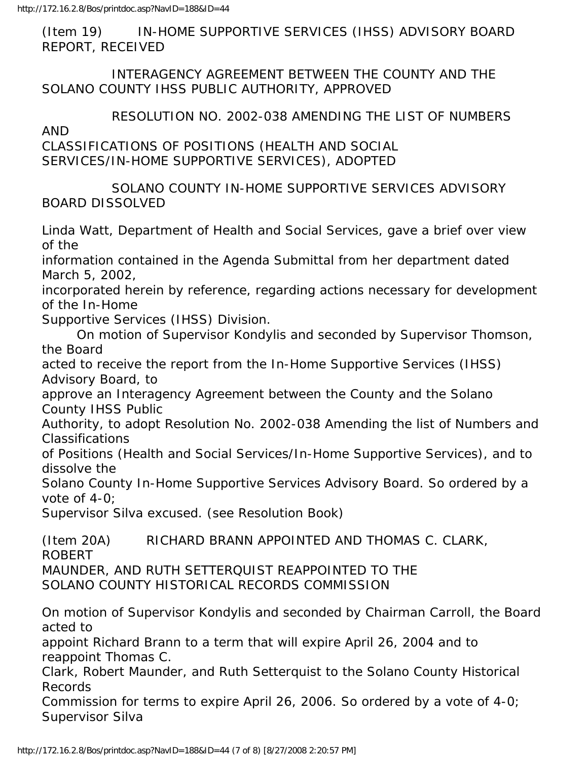(Item 19) IN-HOME SUPPORTIVE SERVICES (IHSS) ADVISORY BOARD REPORT, RECEIVED

 INTERAGENCY AGREEMENT BETWEEN THE COUNTY AND THE SOLANO COUNTY IHSS PUBLIC AUTHORITY, APPROVED

 RESOLUTION NO. 2002-038 AMENDING THE LIST OF NUMBERS AND CLASSIFICATIONS OF POSITIONS (HEALTH AND SOCIAL

SERVICES/IN-HOME SUPPORTIVE SERVICES), ADOPTED

 SOLANO COUNTY IN-HOME SUPPORTIVE SERVICES ADVISORY BOARD DISSOLVED

Linda Watt, Department of Health and Social Services, gave a brief over view of the

information contained in the Agenda Submittal from her department dated March 5, 2002,

incorporated herein by reference, regarding actions necessary for development of the In-Home

Supportive Services (IHSS) Division.

 On motion of Supervisor Kondylis and seconded by Supervisor Thomson, the Board

acted to receive the report from the In-Home Supportive Services (IHSS) Advisory Board, to

approve an Interagency Agreement between the County and the Solano County IHSS Public

Authority, to adopt Resolution No. 2002-038 Amending the list of Numbers and Classifications

of Positions (Health and Social Services/In-Home Supportive Services), and to dissolve the

Solano County In-Home Supportive Services Advisory Board. So ordered by a vote of 4-0;

Supervisor Silva excused. (see Resolution Book)

(Item 20A) RICHARD BRANN APPOINTED AND THOMAS C. CLARK, ROBERT MAUNDER, AND RUTH SETTERQUIST REAPPOINTED TO THE SOLANO COUNTY HISTORICAL RECORDS COMMISSION

On motion of Supervisor Kondylis and seconded by Chairman Carroll, the Board acted to

appoint Richard Brann to a term that will expire April 26, 2004 and to reappoint Thomas C.

Clark, Robert Maunder, and Ruth Setterquist to the Solano County Historical Records

Commission for terms to expire April 26, 2006. So ordered by a vote of 4-0; Supervisor Silva